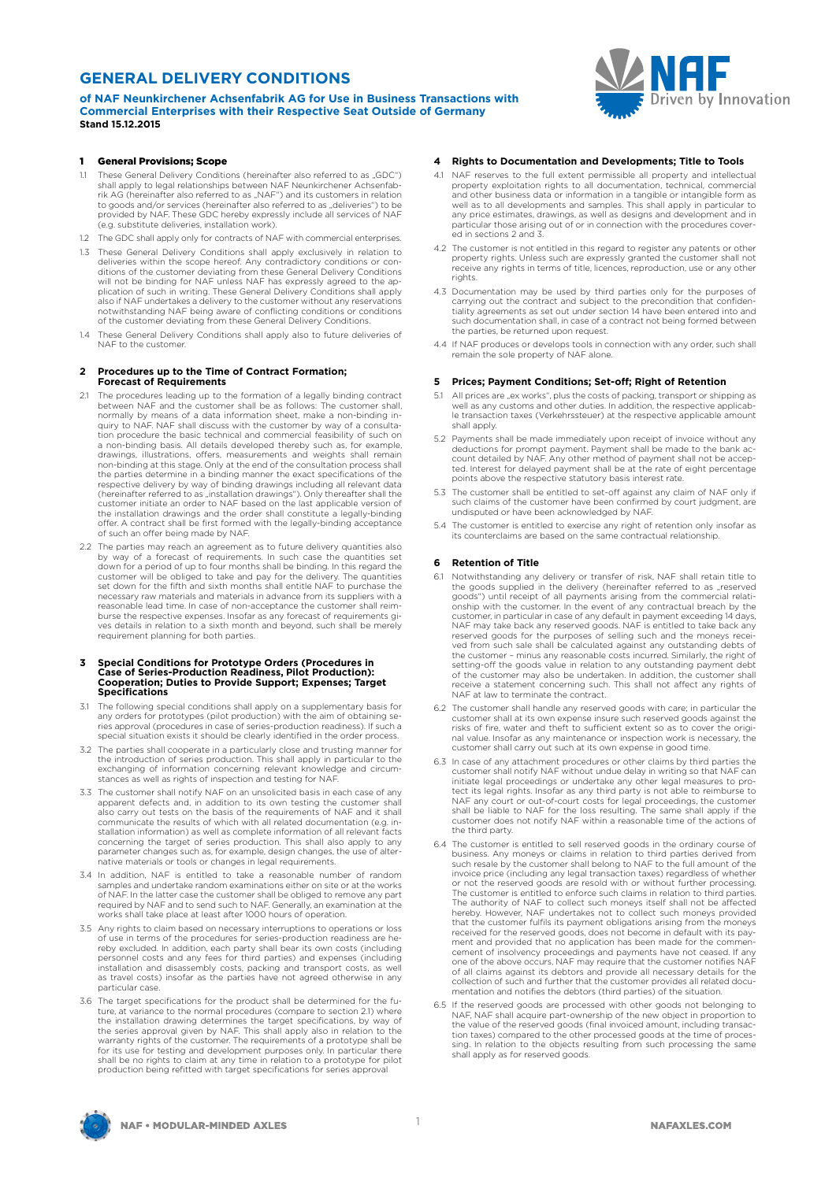## **GENERAL DELIVERY CONDITIONS**

**of NAF Neunkirchener Achsenfabrik AG for Use in Business Transactions with Commercial Enterprises with their Respective Seat Outside of Germany Stand 15.12.2015**

# **NORTHERRY Driven** by Innovation

#### 1 General Provisions; Scope

- 1.1 These General Delivery Conditions (hereinafter also referred to as "GDC") shall apply to legal relationships between NAF Neunkirchener Achsenfabrik AG (hereinafter also referred to as "NAF") and its customers in relation<br>to goods and/or services (hereinafter also referred to as "deliveries") to be<br>provided by NAF. These GDC hereby expressly include all services of (e.g. substitute deliveries, installation work).
- 1.2 The GDC shall apply only for contracts of NAF with commercial enterprises.
- 1.3 These General Delivery Conditions shall apply exclusively in relation to deliveries within the scope hereof. Any contradictory conditions or con-ditions of the customer deviating from these General Delivery Conditions will not be binding for NAF unless NAF has expressly agreed to the ap-plication of such in writing. These General Delivery Conditions shall apply also if NAF undertakes a delivery to the customer without any reservations notwithstanding NAF being aware of conflicting conditions or conditions of the customer deviating from these General Delivery Conditions.
- 1.4 These General Delivery Conditions shall apply also to future deliveries of NAF to the customer.

# **2 Procedures up to the Time of Contract Formation; Forecast of Requirements**

- 2.1 The procedures leading up to the formation of a legally binding contract between NAF and the customer shall be as follows: The customer shall, normally by means of a data information sheet, make a non-binding in-quiry to NAF. NAF shall discuss with the customer by way of a consultation procedure the basic technical and commercial feasibility of such on<br>a non-binding basis. All details developed thereby such as, for example,<br>drawings, illustrations, offers, measurements and weights shall remain non-binding at this stage. Only at the end of the consultation process shall the parties determine in a binding manner the exact specifications of the respective delivery by way of binding drawings including all relevant data (hereinafter referred to as "installation drawings"). Only thereafter shall the<br>customer initiate an order to NAF based on the last applicable version of the installation drawings and the order shall constitute a legally-binding offer. A contract shall be first formed with the legally-binding acceptance of such an offer being made by NAF.
- 2.2 The parties may reach an agreement as to future delivery quantities also by way of a forecast of requirements. In such case the quantities set down for a period of up to four months shall be binding. In this regard the customer will be obliged to take and pay for the delivery. The quantities set down for the fifth and sixth months shall entitle NAF to purchase the necessary raw materials and materials in advance from its suppliers with a reasonable lead time. In case of non-acceptance the customer shall reimburse the respective expenses. Insofar as any forecast of requirements gi-ves details in relation to a sixth month and beyond, such shall be merely requirement planning for both parties.

# **3 Special Conditions for Prototype Orders (Procedures in Case of Series-Production Readiness, Pilot Production): Cooperation; Duties to Provide Support; Expenses; Target Specifications**

- 3.1 The following special conditions shall apply on a supplementary basis for any orders for prototypes (pilot production) with the aim of obtaining series approval (procedures in case of series-production readiness). If such a special situation exists it should be clearly identified in the order process.
- 3.2 The parties shall cooperate in a particularly close and trusting manner for<br>the introduction of series production. This shall apply in particular to the<br>exchanging of information concerning relevant knowledge and circu stances as well as rights of inspection and testing for NAF
- 3.3 The customer shall notify NAF on an unsolicited basis in each case of any apparent defects and, in addition to its own testing the customer shall also carry out tests on the basis of the requirements of NAF and it shall<br>communicate the results of which with all related documentation (e.g. in-<br>stallation information) as well as complete information of all relevant fa concerning the target of series production. This shall also apply to any parameter changes such as, for example, design changes, the use of alter-native materials or tools or changes in legal requirements.
- 3.4 In addition, NAF is entitled to take a reasonable number of random samples and undertake random examinations either on site or at the works of NAF. In the latter case the customer shall be obliged to remove any part required by NAF and to send such to NAF. Generally, an examination at the works shall take place at least after 1000 hours of operation.
- 3.5 Any rights to claim based on necessary interruptions to operations or loss of use in terms of the procedures for series-production readiness are hereby excluded. In addition, each party shall bear its own costs (including personnel costs and any fees for third parties) and expenses (including installation and disassembly costs, packing and transport costs, as well as travel costs) insofar as the parties have not agreed otherwise in any particular case.
- 3.6 The target specifications for the product shall be determined for the future, at variance to the normal procedures (compare to section 2.1) where the installation drawing determines the target specifications, by way of<br>the series approval given by NAF. This shall apply also in relation to the<br>warranty rights of the customer. The requirements of a prototype shall be for its use for testing and development purposes only. In particular there shall be no rights to claim at any time in relation to a prototype for pilot production being refitted with target specifications for series approval

#### **4 Rights to Documentation and Developments; Title to Tools**

- 4.1 NAF reserves to the full extent permissible all property and intellectual property exploitation rights to all documentation, technical, commercial and other business data or information in a tangible or intangible form as<br>well as to all developments and samples. This shall apply in particular to<br>any price estimates, drawings, as well as designs and development and in ed in sections 2 and 3
- 4.2 The customer is not entitled in this regard to register any patents or other property rights. Unless such are expressly granted the customer shall not property rights. Oness such the expressivy granted the customer shall not receive any rights in terms of title, licences, reproduction, use or any other rights.
- 4.3 Documentation may be used by third parties only for the purposes of carrying out the contract and subject to the precondition that confiden-tiality agreements as set out under section 14 have been entered into and such documentation shall, in case of a contract not being formed between the parties, be returned upon request.
- 4.4 If NAF produces or develops tools in connection with any order, such shall remain the sole property of NAF alone.

#### **5 Prices; Payment Conditions; Set-off; Right of Retention**

- 5.1 All prices are "ex works", plus the costs of packing, transport or shipping as All prices die "ex works", plus the costs of packing, transport of simpling as<br>well as any customs and other duties. In addition, the respective applicable transaction taxes (Verkehrssteuer) at the respective applicable amount shall apply.
- 5.2 Payments shall be made immediately upon receipt of invoice without any deductions for prompt payment. Payment shall be made to the bank accepcount detailed by NAF. Any other method of payment shall not be accepted. Int points above the respective statutory basis interest rate.
- 5.3 The customer shall be entitled to set-off against any claim of NAF only if such claims of the customer have been confirmed by court judgment, are undisputed or have been acknowledged by NAF.
- 5.4 The customer is entitled to exercise any right of retention only insofar as its counterclaims are based on the same contractual relationship.

#### **6 Retention of Title**

- 6.1 Notwithstanding any delivery or transfer of risk, NAF shall retain title to the goods supplied in the delivery (hereinafter referred to as "reserved goods") until receipt of all payments arising from the commercial relati-onship with the customer. In the event of any contractual breach by the customer, in particular in case of any default in payment exceeding 14 days, NAF may take back any reserved goods. NAF is entitled to take back any reserved goods for the purposes of selling such and the moneys recei-ved from such sale shall be calculated against any outstanding debts of the customer – minus any reasonable costs incurred. Similarly, the right of setting-off the goods value in relation to any outstanding payment debt of the customer may also be undertaken. In addition, the customer shall receive a statement concerning such. This shall not affect any rights of NAF at law to terminate the contract.
- 6.2 The customer shall handle any reserved goods with care; in particular the customer shall at its own expense insure such reserved goods against the risks of fire, water and theft to sufficient extent so as to cover the original value. Insofar as any maintenance or inspection work is necessary, the customer shall carry out such at its own expense in good time.
- 6.3 In case of any attachment procedures or other claims by third parties the customer shall notify NAF without undue delay in writing so that NAF can initiate legal proceedings or undertake any other legal measures to pro-<br>tect its legal rights. Insofar as any third party is not able to reimburse to<br>NAF any court or out-of-court costs for legal proceedings, the customer the third party.
- 6.4 The customer is entitled to sell reserved goods in the ordinary course of<br>business. Any moneys or claims in relation to third parties derived from<br>such resale by the customer shall belong to NAF to the full amount of t invoice price (including any legal transaction taxes) regardless of whether or not the reserved goods are resold with or without further processing.<br>The customer is entitled to enforce such claims in relation to third parties.<br>The authority of NAF to collect such moneys itself shall not be affecte received for the reserved goods, does not become in default with its payment and provided that no application has been made for the commen-<br>cement of insolvency proceedings and payments have not ceased. If any<br>one of the above occurs, NAF may require that the customer notifies NAF<br>of all claim mentation and notifies the debtors (third parties) of the situation.
- 6.5 If the reserved goods are processed with other goods not belonging to NAF, NAF shall acquire part-ownership of the new object in proportion to the value of the reserved goods (final invoiced amount, including transac-tion taxes) compared to the other processed goods at the time of processing. In relation to the objects resulting from such processing the same shall apply as for reserved goods.

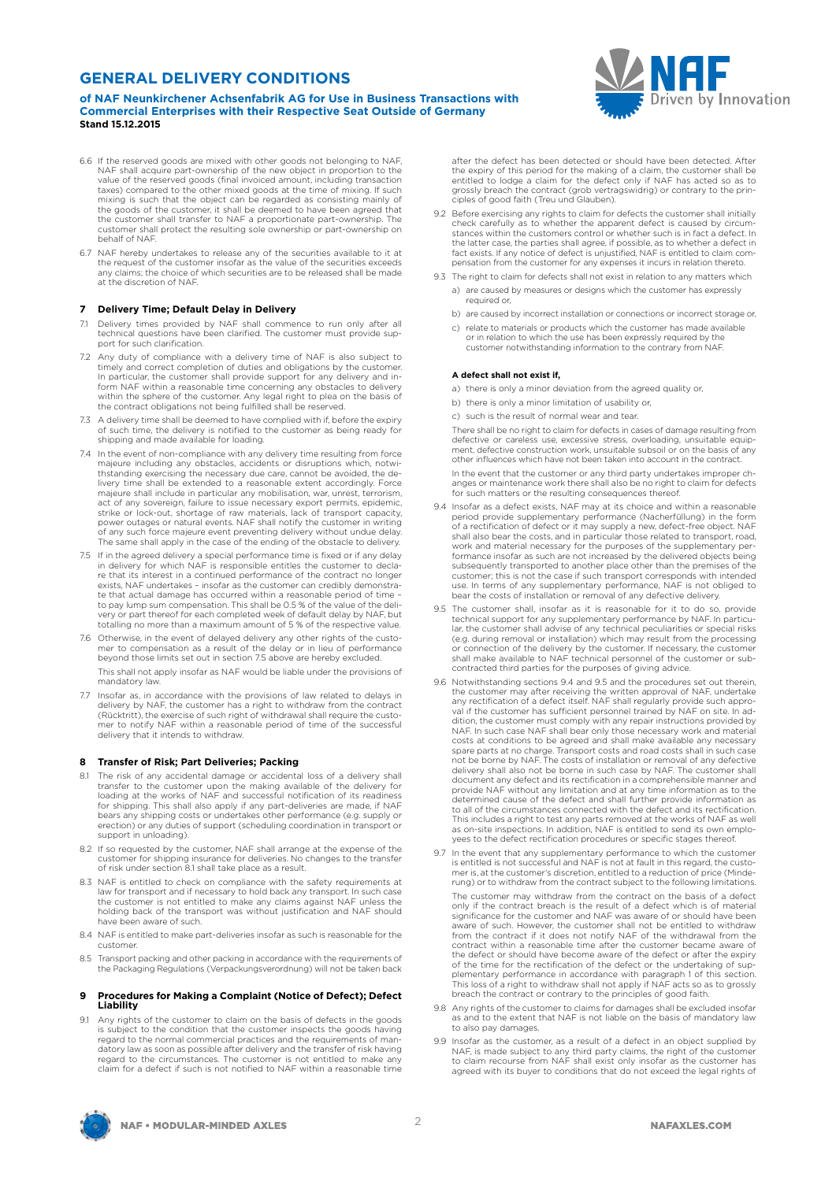### **GENERAL DELIVERY CONDITIONS**

**of NAF Neunkirchener Achsenfabrik AG for Use in Business Transactions with Commercial Enterprises with their Respective Seat Outside of Germany Stand 15.12.2015**

- 6.6 If the reserved goods are mixed with other goods not belonging to NAF, NAF shall acquire part-ownership of the new object in proportion to the value of the reserved goods (final invoiced amount, including transaction taxes) compared to the other mixed goods at the time of mixing. If such mixing is such that the object can be regarded as consisting mainly of the goods of the customer, it shall be deemed to have been agreed that the customer shall transfer to NAF a proportionate part-ownership. The customer shall protect the resulting sole ownership or part-ownership on behalf of NAF.
- 6.7 NAF hereby undertakes to release any of the securities available to it at<br>the request of the customer insofar as the value of the securities exceeds<br>any claims; the choice of which securities are to be released shall b at the discretion of NAF.

#### **7 Delivery Time; Default Delay in Delivery**

- 7.1 Delivery times provided by NAF shall commence to run only after all technical questions have been clarified. The customer must provide support for such clarification.
- 7.2 Any duty of compliance with a delivery time of NAF is also subject to timely and correct completion of duties and obligations by the customer. In particular, the customer shall provide support for any delivery and in-form NAF within a reasonable time concerning any obstacles to delivery within the sphere of the customer. Any legal right to plea on the basis of the contract obligations not being fulfilled shall be reserved.
- 7.3 A delivery time shall be deemed to have complied with if, before the expiry of such time, the delivery is notified to the customer as being ready for shipping and made available for loading.
- 7.4 In the event of non-compliance with any delivery time resulting from force majeure including any obstacles, accidents or disruptions which, notwithstanding exercising the necessary due care, cannot be avoided, the de-<br>livery time shall be extended to a reasonable extent accordingly. Force<br>majeure act of any sovereign, failure to issue necessary export permits, epidemic, strike or lock-out, shortage of raw materials, lack of transport capacity, power outages or natural events. NAF shall notify the customer in writing of any such force majeure event preventing delivery without undue delay. The same shall apply in the case of the ending of the obstacle to delivery.
- 7.5 If in the agreed delivery a special performance time is fixed or if any delay in delivery for which NAF is responsible entitles the customer to decla-re that its interest in a continued performance of the contract no longer exists, NAF undertakes – insofar as the customer can credibly demonstra-te that actual damage has occurred within a reasonable period of time – to pay lump sum compensation. This shall be 0.5 % of the value of the deli-very or part thereof for each completed week of default delay by NAF, but totalling no more than a maximum amount of 5 % of the respective value.
- 7.6 Otherwise, in the event of delayed delivery any other rights of the customer to compensation as a result of the delay or in lieu of performance beyond those limits set out in section 7.5 above are hereby excluded. This shall not apply insofar as NAF would be liable under the provisions of mandatory law.
- 7.7 Insofar as, in accordance with the provisions of law related to delays in delivery by NAF, the customer has a right to withdraw from the contract (Rücktritt), the exercise of such right of withdrawal shall require the custo-mer to notify NAF within a reasonable period of time of the successful delivery that it intends to withdraw.

#### **8 Transfer of Risk; Part Deliveries; Packing**

- 8.1 The risk of any accidental damage or accidental loss of a delivery shall transfer to the customer upon the making available of the delivery for loading at the works of NAF and successful notification of its readiness for shipping. This shall also apply if any part-deliveries are made, if NAF bears any shipping costs or undertakes other performance (e.g. supply or erection) or any duties of support (scheduling coordination in transport or support in unloading).
- 8.2 If so requested by the customer, NAF shall arrange at the expense of the customer for shipping insurance for deliveries. No changes to the transfer of risk under section 8.1 shall take place as a result.
- 8.3 NAF is entitled to check on compliance with the safety requirements at law for transport and if necessary to hold back any transport. In such case the customer is not entitled to make any claims against NAF unless the holding back of the transport was without justification and NAF should have been aware of such.
- 8.4 NAF is entitled to make part-deliveries insofar as such is reasonable for the customer.
- 8.5 Transport packing and other packing in accordance with the requirements of the Packaging Regulations (Verpackungsverordnung) will not be taken back

#### **9 Procedures for Making a Complaint (Notice of Defect); Defect Liability**

9.1 Any rights of the customer to claim on the basis of defects in the goods is subject to the condition that the customer inspects the goods having regard to the normal commercial practices and the requirements of mandatory law as soon as possible after delivery and the transfer of risk having regard to the circumstances. The customer is not entitled to make any claim for a defect if such is not notified to NAF within a reasonable time



after the defect has been detected or should have been detected. After the expiry of this period for the making of a claim, the customer shall be entitled to lodge a claim for the defect only if NAF has acted so as to grossly breach the contract (grob vertragswidrig) or contrary to the principles of good faith (Treu und Glauben).

- 9.2 Before exercising any rights to claim for defects the customer shall initially check carefully as to whether the apparent defect is caused by circum-stances within the customers control or whether such is in fact a defect. In the latter case, the parties shall agree, if possible, as to whether a defect in<br>fact exists. If any notice of defect is unjustified, NAF is entitled to claim com-<br>pensation from the customer for any expenses it incurs in
- 9.3 The right to claim for defects shall not exist in relation to any matters which a) are caused by measures or designs which the customer has expressly required or,
	- b) are caused by incorrect installation or connections or incorrect storage or, c) relate to materials or products which the customer has made available
	- or in relation to which the use has been expressly required by the customer notwithstanding information to the contrary from NAF.

#### **A defect shall not exist if,**

- a) there is only a minor deviation from the agreed quality or,
- b) there is only a minor limitation of usability or,
- c) such is the result of normal wear and tear

There shall be no right to claim for defects in cases of damage resulting from defective or careless use, excessive stress, overloading, unsuitable equipment, defective construction work, unsuitable subsoil or on the basis of any other influences which have not been taken into account in the contract.

In the event that the customer or any third party undertakes improper changes or maintenance work there shall also be no right to claim for defects for such matters or the resulting consequences thereof.

- 9.4 Insofar as a defect exists, NAF may at its choice and within a reasonable period provide supplementary performance (Nacherfüllung) in the form of a rectification of defect or it may supply a new, defect-free object. NAF shall also bear the costs, and in particular those related to transport, road, work and material necessary for the purposes of the supplementary per-formance insofar as such are not increased by the delivered objects being subsequently transported to another place other than the premises of the customer; this is not the case if such transport corresponds with intended use. In terms of any supplementary performance, NAF is not obliged to bear the costs of installation or removal of any defective delivery.
- 9.5 The customer shall, insofar as it is reasonable for it to do so, provide technical support for any supplementary performance by NAF. In particu-<br>lar, the customer shall advise of any technical peculiarities or special risks<br>(e.g. during removal or installation) which may result from the process or connection of the delivery by the customer. If necessary, the customer shall make available to NAF technical personnel of the customer or subcontracted third parties for the purposes of giving advice.
- 9.6 Notwithstanding sections 9.4 and 9.5 and the procedures set out therein, the customer may after receiving the written approval of NAF, undertake any rectification of a defect itself. NAF shall regularly provide such approval if the customer has sufficient personnel trained by NAF on site. In addition, the customer must comply with any repair instructions provided by NAF. In such case NAF shall bear only those necessary work and material costs at conditions to be agreed and shall make available any necessary spare parts at no charge. Transport costs and road costs shall in such case not be borne by NAF. The costs of installation or removal of any defective delivery shall also not be borne in such case by NAF. The customer shall document any defect and its rectification in a comprehensible manner and provide NAF without any limitation and at any time information as to the determined cause of the defect and shall further provide information as to all of the circumstances connected with the defect and its rectification.<br>This includes a right to test any parts removed at the works of NAF as well<br>as on-site inspections. In addition, NAF is entitled to send its own yees to the defect rectification procedures or specific stages thereof.
- 9.7 In the event that any supplementary performance to which the customer is entitled is not successful and NAF is not at fault in this regard, the customer is, at the customer's discretion, entitled to a reduction of price (Minde-rung) or to withdraw from the contract subject to the following limitations. The customer may withdraw from the contract on the basis of a defect only if the contract breach is the result of a defect which is of material significance for the customer and NAF was aware of or should have been<br>aware of such. However, the customer shall not be entitled to withdraw<br>from the contract if it does not notify NAF of the withdrawal from the<br>contract the defect or should have become aware of the defect or after the expiry of the time for the rectification of the defect or the undertaking of supplementary performance in accordance with paragraph 1 of this section. This loss of a right to withdraw shall not apply if NAF acts so as to grossly breach the contract or contrary to the principles of good faith.
- 9.8 Any rights of the customer to claims for damages shall be excluded insofar as and to the extent that NAF is not liable on the basis of mandatory law to also pay damages.
- 9.9 Insofar as the customer, as a result of a defect in an object supplied by NAF, is made subject to any third party claims, the right of the customer to claim recourse from NAF shall exist only insofar as the customer has agreed with its buyer to conditions that do not exceed the legal rights of

**NAF • MODULAR-MINDED AXLES**